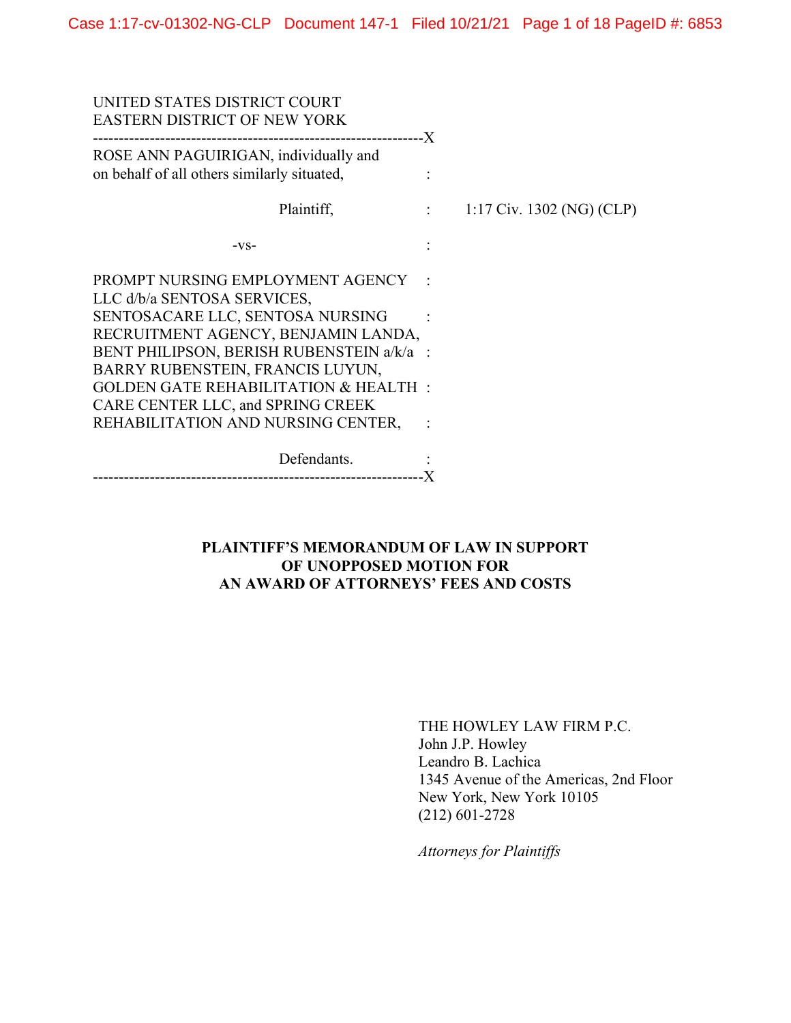| UNITED STATES DISTRICT COURT<br><b>EASTERN DISTRICT OF NEW YORK</b>                  |                            |                           |
|--------------------------------------------------------------------------------------|----------------------------|---------------------------|
| ROSE ANN PAGUIRIGAN, individually and<br>on behalf of all others similarly situated, |                            |                           |
| Plaintiff,                                                                           | $\sim$ 100 $\pm$ 100 $\pm$ | 1:17 Civ. 1302 (NG) (CLP) |
| $-VS-$                                                                               |                            |                           |
| PROMPT NURSING EMPLOYMENT AGENCY<br>LLC d/b/a SENTOSA SERVICES,                      |                            |                           |
| SENTOSACARE LLC, SENTOSA NURSING<br>RECRUITMENT AGENCY, BENJAMIN LANDA,              |                            |                           |
| BENT PHILIPSON, BERISH RUBENSTEIN a/k/a :<br>BARRY RUBENSTEIN, FRANCIS LUYUN,        |                            |                           |
| <b>GOLDEN GATE REHABILITATION &amp; HEALTH:</b><br>CARE CENTER LLC, and SPRING CREEK |                            |                           |
| REHABILITATION AND NURSING CENTER,                                                   |                            |                           |
| Defendants.                                                                          |                            |                           |

## **PLAINTIFF'S MEMORANDUM OF LAW IN SUPPORT OF UNOPPOSED MOTION FOR AN AWARD OF ATTORNEYS' FEES AND COSTS**

THE HOWLEY LAW FIRM P.C. John J.P. Howley Leandro B. Lachica 1345 Avenue of the Americas, 2nd Floor New York, New York 10105 (212) 601-2728

*Attorneys for Plaintiffs*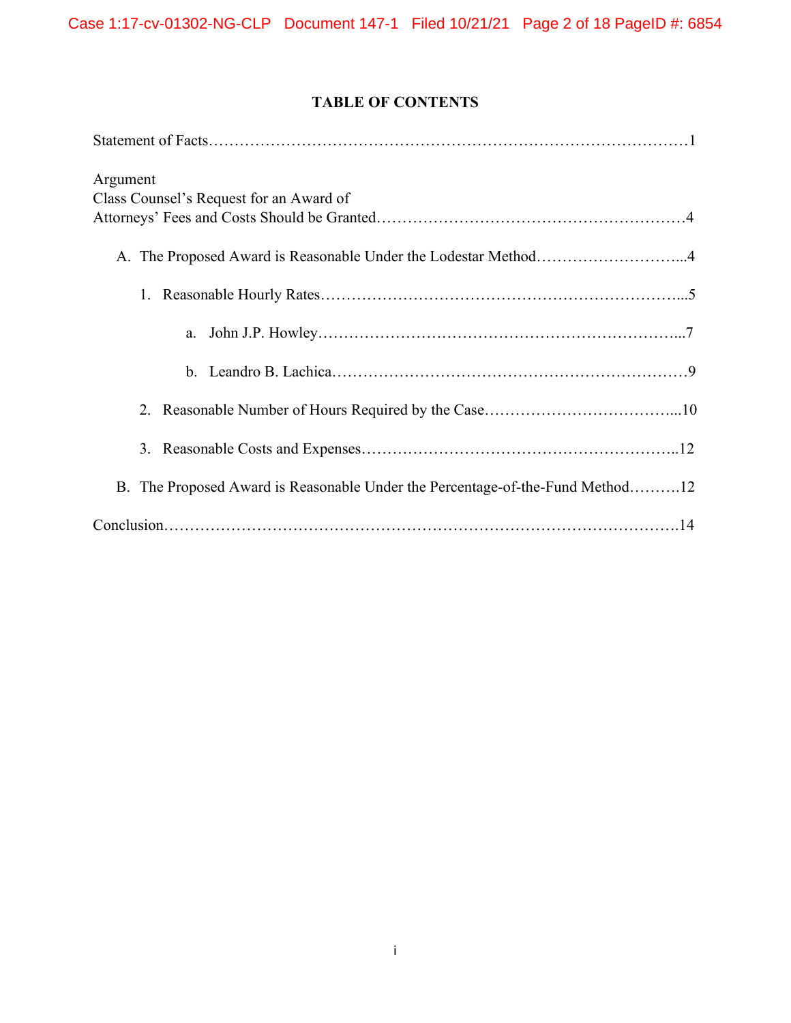# **TABLE OF CONTENTS**

| Argument                                                                      |
|-------------------------------------------------------------------------------|
| Class Counsel's Request for an Award of                                       |
|                                                                               |
| A. The Proposed Award is Reasonable Under the Lodestar Method4                |
|                                                                               |
| a.                                                                            |
| $\mathbf{b}$ .                                                                |
|                                                                               |
|                                                                               |
| B. The Proposed Award is Reasonable Under the Percentage-of-the-Fund Method12 |
|                                                                               |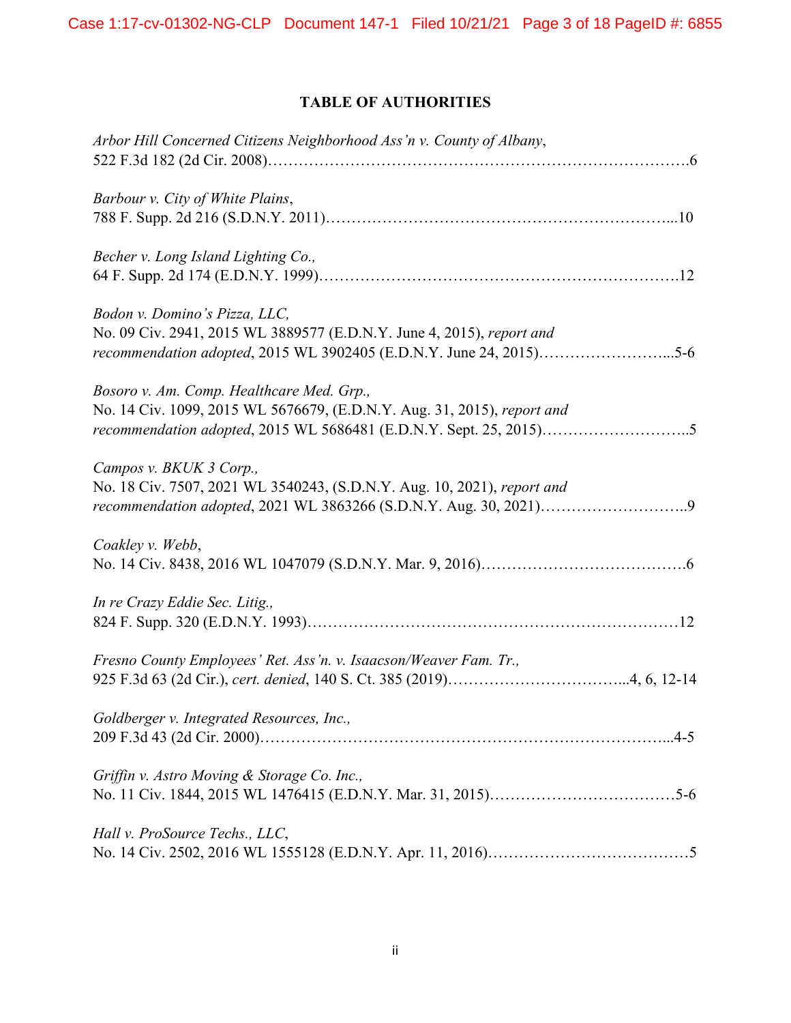# **TABLE OF AUTHORITIES**

| Arbor Hill Concerned Citizens Neighborhood Ass'n v. County of Albany,                                                                                                         |
|-------------------------------------------------------------------------------------------------------------------------------------------------------------------------------|
| Barbour v. City of White Plains,                                                                                                                                              |
| Becher v. Long Island Lighting Co.,                                                                                                                                           |
| Bodon v. Domino's Pizza, LLC,<br>No. 09 Civ. 2941, 2015 WL 3889577 (E.D.N.Y. June 4, 2015), report and<br>recommendation adopted, 2015 WL 3902405 (E.D.N.Y. June 24, 2015)5-6 |
| Bosoro v. Am. Comp. Healthcare Med. Grp.,<br>No. 14 Civ. 1099, 2015 WL 5676679, (E.D.N.Y. Aug. 31, 2015), report and                                                          |
| Campos v. BKUK 3 Corp.,<br>No. 18 Civ. 7507, 2021 WL 3540243, (S.D.N.Y. Aug. 10, 2021), report and<br>recommendation adopted, 2021 WL 3863266 (S.D.N.Y. Aug. 30, 2021)9       |
| Coakley v. Webb,                                                                                                                                                              |
| In re Crazy Eddie Sec. Litig.,                                                                                                                                                |
| Fresno County Employees' Ret. Ass'n. v. Isaacson/Weaver Fam. Tr.,                                                                                                             |
| Goldberger v. Integrated Resources, Inc.,                                                                                                                                     |
| Griffin v. Astro Moving & Storage Co. Inc.,                                                                                                                                   |
| Hall v. ProSource Techs., LLC,                                                                                                                                                |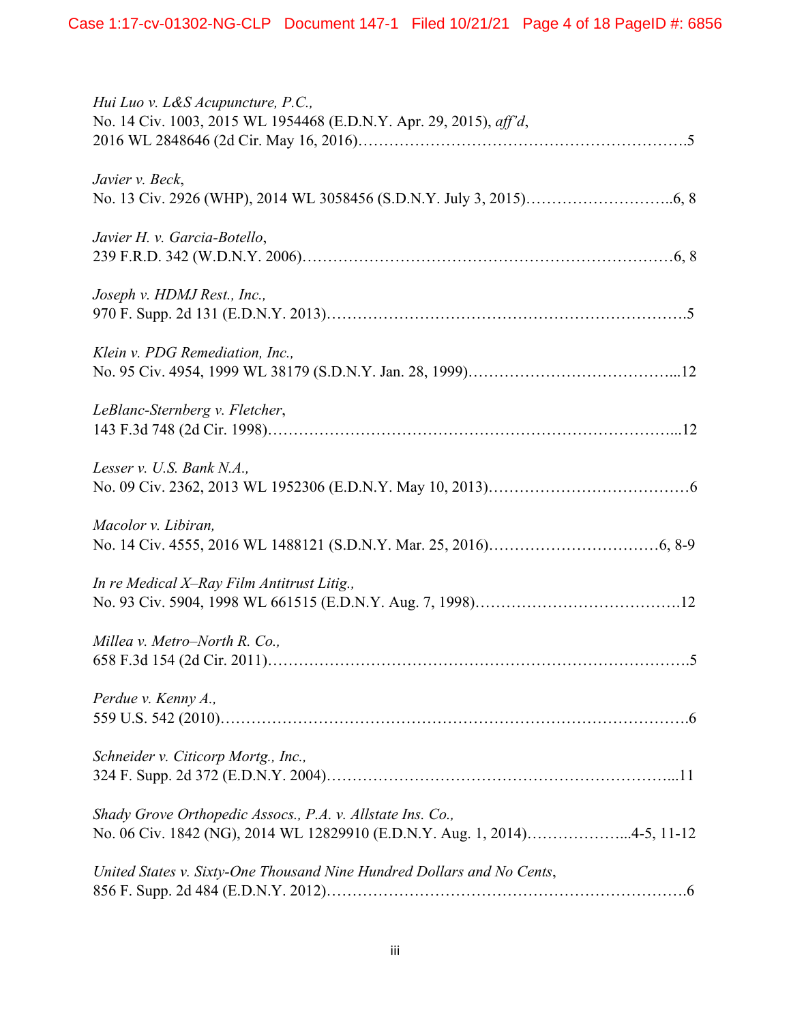| Hui Luo v. L&S Acupuncture, P.C.,<br>No. 14 Civ. 1003, 2015 WL 1954468 (E.D.N.Y. Apr. 29, 2015), aff'd,                                 |
|-----------------------------------------------------------------------------------------------------------------------------------------|
| Javier v. Beck,                                                                                                                         |
| Javier H. v. Garcia-Botello,                                                                                                            |
| Joseph v. HDMJ Rest., Inc.,                                                                                                             |
| Klein v. PDG Remediation, Inc.,                                                                                                         |
| LeBlanc-Sternberg v. Fletcher,                                                                                                          |
| Lesser v. U.S. Bank $N.A.,$                                                                                                             |
| Macolor v. Libiran,                                                                                                                     |
| In re Medical X-Ray Film Antitrust Litig.,                                                                                              |
| Millea v. Metro-North R. Co.,                                                                                                           |
| Perdue v. Kenny A.,                                                                                                                     |
| Schneider v. Citicorp Mortg., Inc.,                                                                                                     |
| Shady Grove Orthopedic Assocs., P.A. v. Allstate Ins. Co.,<br>No. 06 Civ. 1842 (NG), 2014 WL 12829910 (E.D.N.Y. Aug. 1, 2014)4-5, 11-12 |
| United States v. Sixty-One Thousand Nine Hundred Dollars and No Cents,                                                                  |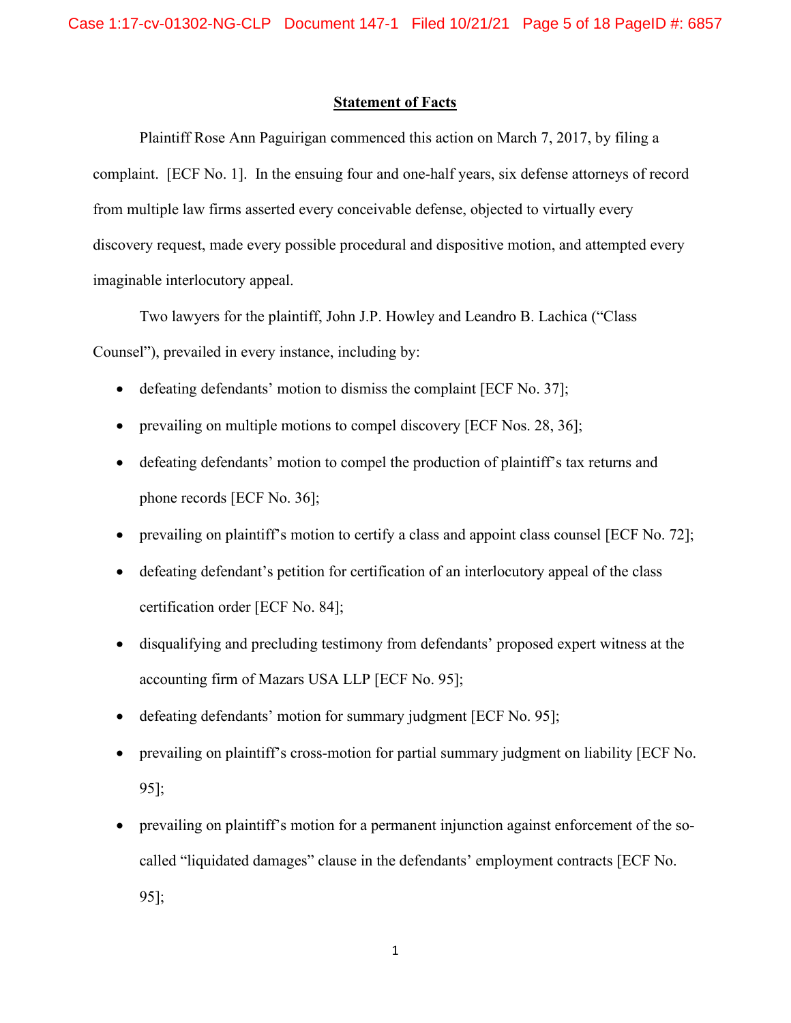### **Statement of Facts**

Plaintiff Rose Ann Paguirigan commenced this action on March 7, 2017, by filing a complaint. [ECF No. 1]. In the ensuing four and one-half years, six defense attorneys of record from multiple law firms asserted every conceivable defense, objected to virtually every discovery request, made every possible procedural and dispositive motion, and attempted every imaginable interlocutory appeal.

Two lawyers for the plaintiff, John J.P. Howley and Leandro B. Lachica ("Class Counsel"), prevailed in every instance, including by:

- defeating defendants' motion to dismiss the complaint [ECF No. 37];
- prevailing on multiple motions to compel discovery [ECF Nos. 28, 36];
- defeating defendants' motion to compel the production of plaintiff's tax returns and phone records [ECF No. 36];
- prevailing on plaintiff's motion to certify a class and appoint class counsel [ECF No. 72];
- defeating defendant's petition for certification of an interlocutory appeal of the class certification order [ECF No. 84];
- disqualifying and precluding testimony from defendants' proposed expert witness at the accounting firm of Mazars USA LLP [ECF No. 95];
- defeating defendants' motion for summary judgment [ECF No. 95];
- prevailing on plaintiff's cross-motion for partial summary judgment on liability [ECF No. 95];
- prevailing on plaintiff's motion for a permanent injunction against enforcement of the socalled "liquidated damages" clause in the defendants' employment contracts [ECF No. 95];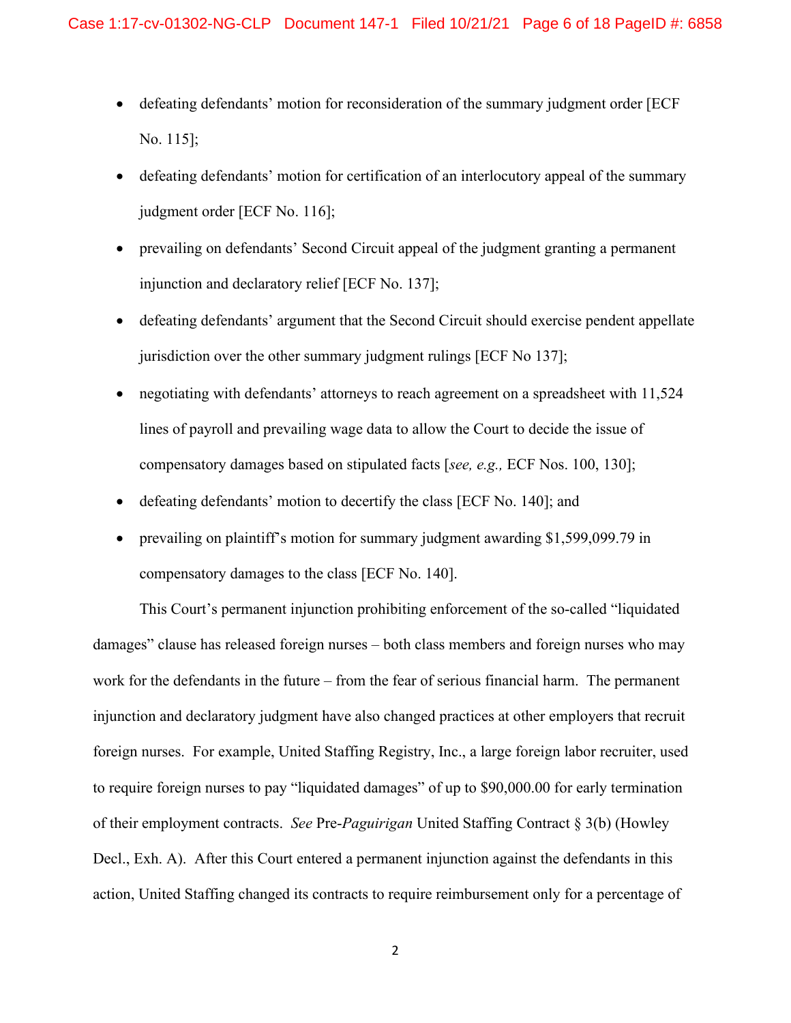- defeating defendants' motion for reconsideration of the summary judgment order [ECF No. 115];
- defeating defendants' motion for certification of an interlocutory appeal of the summary judgment order [ECF No. 116];
- prevailing on defendants' Second Circuit appeal of the judgment granting a permanent injunction and declaratory relief [ECF No. 137];
- defeating defendants' argument that the Second Circuit should exercise pendent appellate jurisdiction over the other summary judgment rulings [ECF No 137];
- negotiating with defendants' attorneys to reach agreement on a spreadsheet with 11,524 lines of payroll and prevailing wage data to allow the Court to decide the issue of compensatory damages based on stipulated facts [*see, e.g.,* ECF Nos. 100, 130];
- defeating defendants' motion to decertify the class [ECF No. 140]; and
- prevailing on plaintiff's motion for summary judgment awarding \$1,599,099.79 in compensatory damages to the class [ECF No. 140].

This Court's permanent injunction prohibiting enforcement of the so-called "liquidated damages" clause has released foreign nurses – both class members and foreign nurses who may work for the defendants in the future – from the fear of serious financial harm. The permanent injunction and declaratory judgment have also changed practices at other employers that recruit foreign nurses. For example, United Staffing Registry, Inc., a large foreign labor recruiter, used to require foreign nurses to pay "liquidated damages" of up to \$90,000.00 for early termination of their employment contracts. *See* Pre-*Paguirigan* United Staffing Contract § 3(b) (Howley Decl., Exh. A). After this Court entered a permanent injunction against the defendants in this action, United Staffing changed its contracts to require reimbursement only for a percentage of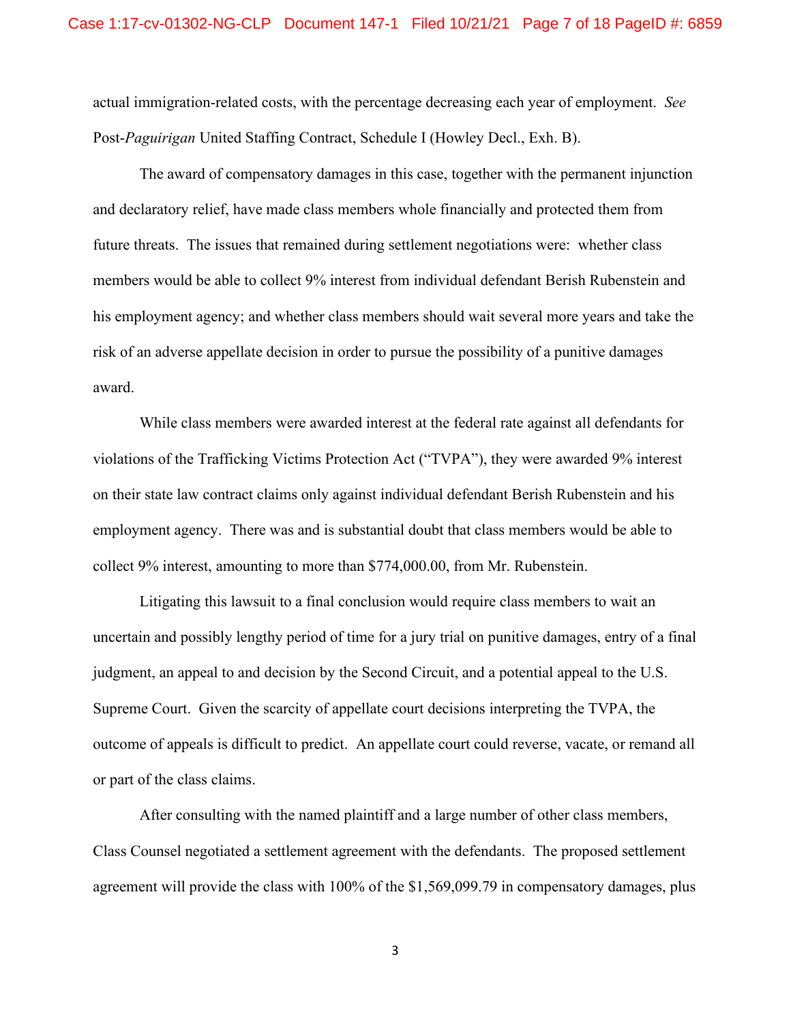actual immigration-related costs, with the percentage decreasing each year of employment. *See* Post-*Paguirigan* United Staffing Contract, Schedule I (Howley Decl., Exh. B).

The award of compensatory damages in this case, together with the permanent injunction and declaratory relief, have made class members whole financially and protected them from future threats. The issues that remained during settlement negotiations were: whether class members would be able to collect 9% interest from individual defendant Berish Rubenstein and his employment agency; and whether class members should wait several more years and take the risk of an adverse appellate decision in order to pursue the possibility of a punitive damages award.

While class members were awarded interest at the federal rate against all defendants for violations of the Trafficking Victims Protection Act ("TVPA"), they were awarded 9% interest on their state law contract claims only against individual defendant Berish Rubenstein and his employment agency. There was and is substantial doubt that class members would be able to collect 9% interest, amounting to more than \$774,000.00, from Mr. Rubenstein.

Litigating this lawsuit to a final conclusion would require class members to wait an uncertain and possibly lengthy period of time for a jury trial on punitive damages, entry of a final judgment, an appeal to and decision by the Second Circuit, and a potential appeal to the U.S. Supreme Court. Given the scarcity of appellate court decisions interpreting the TVPA, the outcome of appeals is difficult to predict. An appellate court could reverse, vacate, or remand all or part of the class claims.

After consulting with the named plaintiff and a large number of other class members, Class Counsel negotiated a settlement agreement with the defendants. The proposed settlement agreement will provide the class with 100% of the \$1,569,099.79 in compensatory damages, plus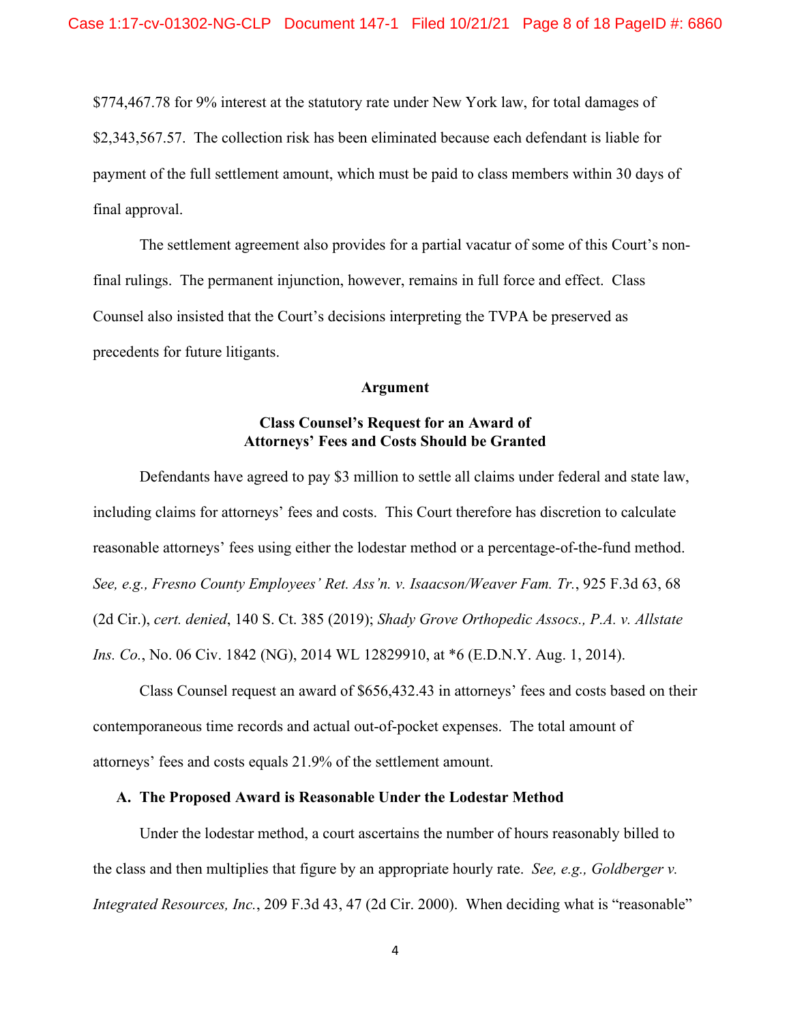\$774,467.78 for 9% interest at the statutory rate under New York law, for total damages of \$2,343,567.57. The collection risk has been eliminated because each defendant is liable for payment of the full settlement amount, which must be paid to class members within 30 days of final approval.

The settlement agreement also provides for a partial vacatur of some of this Court's nonfinal rulings. The permanent injunction, however, remains in full force and effect. Class Counsel also insisted that the Court's decisions interpreting the TVPA be preserved as precedents for future litigants.

### **Argument**

## **Class Counsel's Request for an Award of Attorneys' Fees and Costs Should be Granted**

Defendants have agreed to pay \$3 million to settle all claims under federal and state law, including claims for attorneys' fees and costs. This Court therefore has discretion to calculate reasonable attorneys' fees using either the lodestar method or a percentage-of-the-fund method. *See, e.g., Fresno County Employees' Ret. Ass'n. v. Isaacson/Weaver Fam. Tr.*, 925 F.3d 63, 68 (2d Cir.), *cert. denied*, 140 S. Ct. 385 (2019); *Shady Grove Orthopedic Assocs., P.A. v. Allstate Ins. Co.*, No. 06 Civ. 1842 (NG), 2014 WL 12829910, at \*6 (E.D.N.Y. Aug. 1, 2014).

Class Counsel request an award of \$656,432.43 in attorneys' fees and costs based on their contemporaneous time records and actual out-of-pocket expenses. The total amount of attorneys' fees and costs equals 21.9% of the settlement amount.

#### **A. The Proposed Award is Reasonable Under the Lodestar Method**

Under the lodestar method, a court ascertains the number of hours reasonably billed to the class and then multiplies that figure by an appropriate hourly rate. *See, e.g., Goldberger v. Integrated Resources, Inc.*, 209 F.3d 43, 47 (2d Cir. 2000). When deciding what is "reasonable"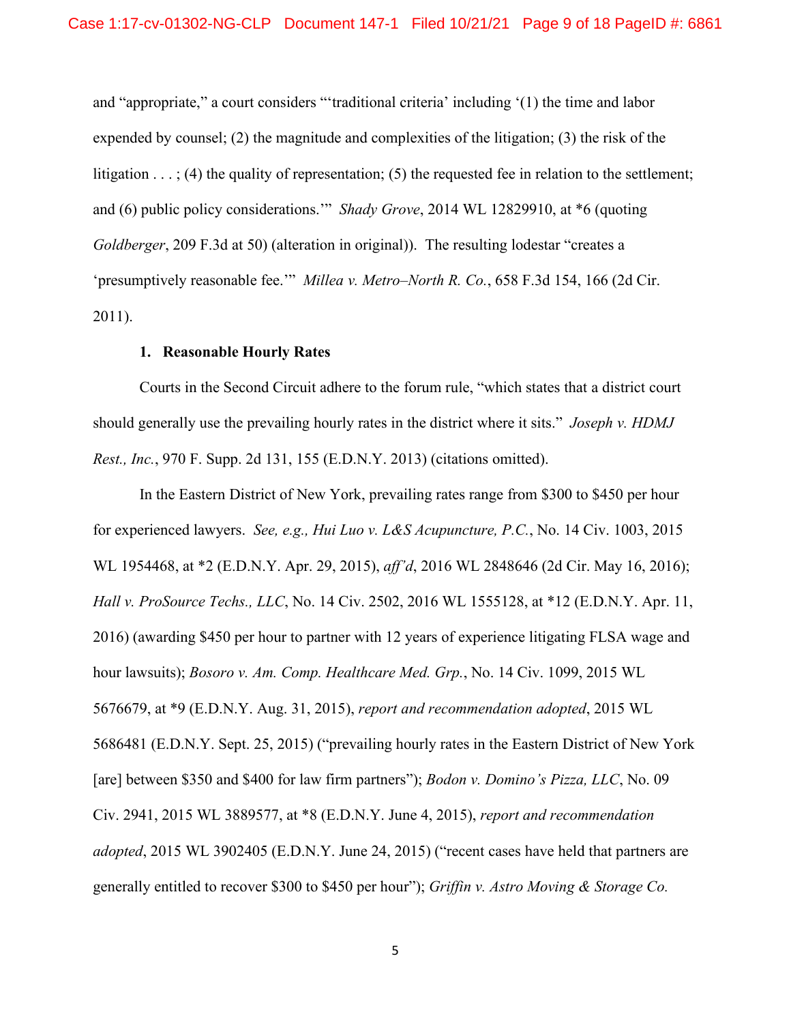and "appropriate," a court considers "'traditional criteria' including '(1) the time and labor expended by counsel; (2) the magnitude and complexities of the litigation; (3) the risk of the litigation  $\dots$ ; (4) the quality of representation; (5) the requested fee in relation to the settlement; and (6) public policy considerations.'" *Shady Grove*, 2014 WL 12829910, at \*6 (quoting *Goldberger*, 209 F.3d at 50) (alteration in original)). The resulting lodestar "creates a 'presumptively reasonable fee.'" *Millea v. Metro–North R. Co.*, 658 F.3d 154, 166 (2d Cir. 2011).

### **1. Reasonable Hourly Rates**

Courts in the Second Circuit adhere to the forum rule, "which states that a district court should generally use the prevailing hourly rates in the district where it sits." *Joseph v. HDMJ Rest., Inc.*, 970 F. Supp. 2d 131, 155 (E.D.N.Y. 2013) (citations omitted).

In the Eastern District of New York, prevailing rates range from \$300 to \$450 per hour for experienced lawyers. *See, e.g., Hui Luo v. L&S Acupuncture, P.C.*, No. 14 Civ. 1003, 2015 WL 1954468, at \*2 (E.D.N.Y. Apr. 29, 2015), *aff'd*, 2016 WL 2848646 (2d Cir. May 16, 2016); *Hall v. ProSource Techs., LLC*, No. 14 Civ. 2502, 2016 WL 1555128, at \*12 (E.D.N.Y. Apr. 11, 2016) (awarding \$450 per hour to partner with 12 years of experience litigating FLSA wage and hour lawsuits); *Bosoro v. Am. Comp. Healthcare Med. Grp.*, No. 14 Civ. 1099, 2015 WL 5676679, at \*9 (E.D.N.Y. Aug. 31, 2015), *report and recommendation adopted*, 2015 WL 5686481 (E.D.N.Y. Sept. 25, 2015) ("prevailing hourly rates in the Eastern District of New York [are] between \$350 and \$400 for law firm partners"); *Bodon v. Domino's Pizza, LLC*, No. 09 Civ. 2941, 2015 WL 3889577, at \*8 (E.D.N.Y. June 4, 2015), *report and recommendation adopted*, 2015 WL 3902405 (E.D.N.Y. June 24, 2015) ("recent cases have held that partners are generally entitled to recover \$300 to \$450 per hour"); *Griffin v. Astro Moving & Storage Co.*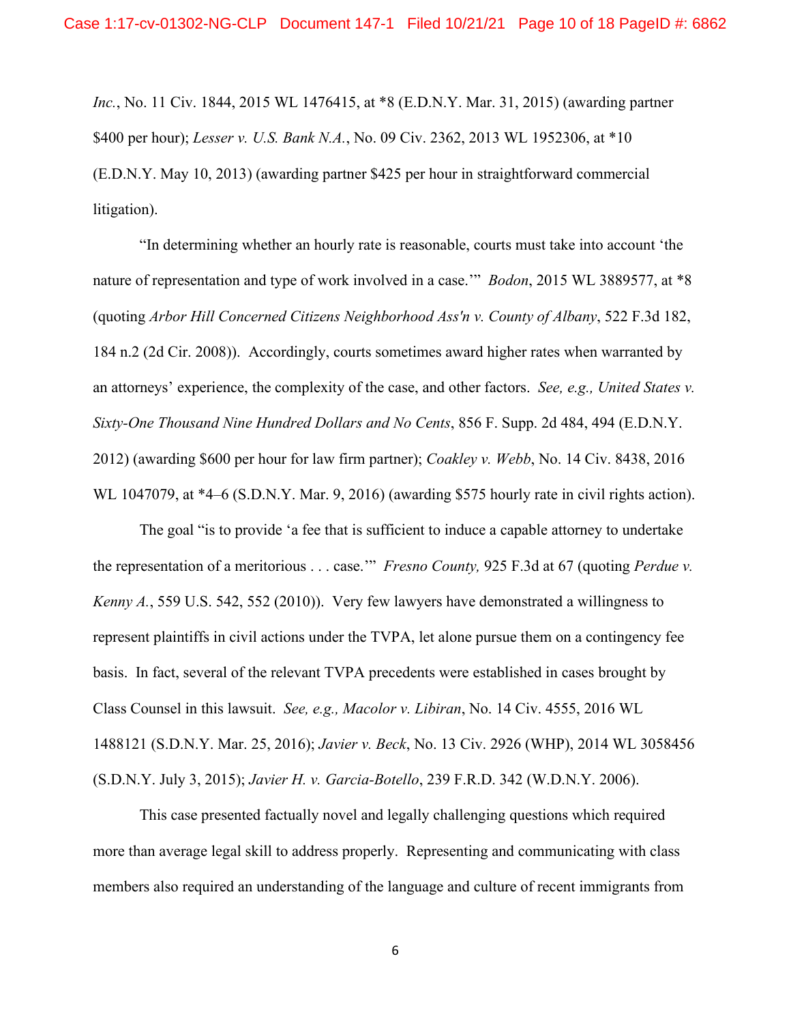*Inc.*, No. 11 Civ. 1844, 2015 WL 1476415, at \*8 (E.D.N.Y. Mar. 31, 2015) (awarding partner \$400 per hour); *Lesser v. U.S. Bank N.A.*, No. 09 Civ. 2362, 2013 WL 1952306, at \*10 (E.D.N.Y. May 10, 2013) (awarding partner \$425 per hour in straightforward commercial litigation).

"In determining whether an hourly rate is reasonable, courts must take into account 'the nature of representation and type of work involved in a case.'" *Bodon*, 2015 WL 3889577, at \*8 (quoting *Arbor Hill Concerned Citizens Neighborhood Ass'n v. County of Albany*, 522 F.3d 182, 184 n.2 (2d Cir. 2008)). Accordingly, courts sometimes award higher rates when warranted by an attorneys' experience, the complexity of the case, and other factors. *See, e.g., United States v. Sixty-One Thousand Nine Hundred Dollars and No Cents*, 856 F. Supp. 2d 484, 494 (E.D.N.Y. 2012) (awarding \$600 per hour for law firm partner); *Coakley v. Webb*, No. 14 Civ. 8438, 2016 WL 1047079, at  $*4-6$  (S.D.N.Y. Mar. 9, 2016) (awarding \$575 hourly rate in civil rights action).

The goal "is to provide 'a fee that is sufficient to induce a capable attorney to undertake the representation of a meritorious . . . case.'" *Fresno County,* 925 F.3d at 67 (quoting *Perdue v. Kenny A.*, 559 U.S. 542, 552 (2010)). Very few lawyers have demonstrated a willingness to represent plaintiffs in civil actions under the TVPA, let alone pursue them on a contingency fee basis. In fact, several of the relevant TVPA precedents were established in cases brought by Class Counsel in this lawsuit. *See, e.g., Macolor v. Libiran*, No. 14 Civ. 4555, 2016 WL 1488121 (S.D.N.Y. Mar. 25, 2016); *Javier v. Beck*, No. 13 Civ. 2926 (WHP), 2014 WL 3058456 (S.D.N.Y. July 3, 2015); *Javier H. v. Garcia-Botello*, 239 F.R.D. 342 (W.D.N.Y. 2006).

This case presented factually novel and legally challenging questions which required more than average legal skill to address properly. Representing and communicating with class members also required an understanding of the language and culture of recent immigrants from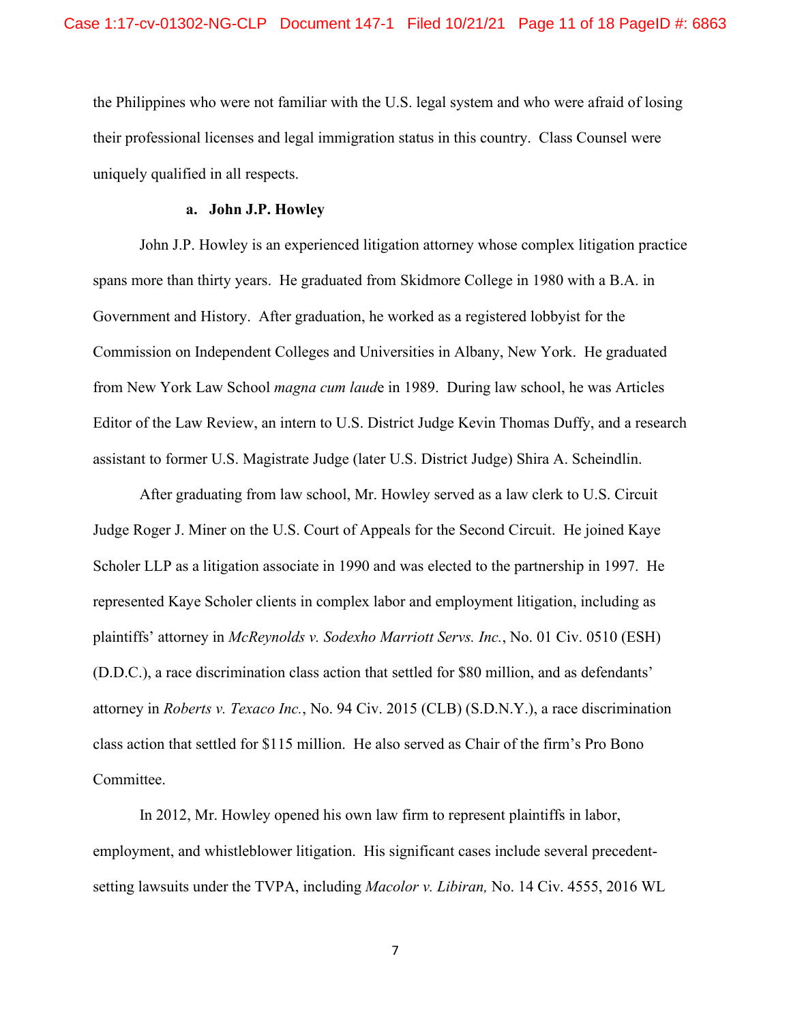the Philippines who were not familiar with the U.S. legal system and who were afraid of losing their professional licenses and legal immigration status in this country. Class Counsel were uniquely qualified in all respects.

#### **a. John J.P. Howley**

John J.P. Howley is an experienced litigation attorney whose complex litigation practice spans more than thirty years. He graduated from Skidmore College in 1980 with a B.A. in Government and History. After graduation, he worked as a registered lobbyist for the Commission on Independent Colleges and Universities in Albany, New York. He graduated from New York Law School *magna cum laud*e in 1989. During law school, he was Articles Editor of the Law Review, an intern to U.S. District Judge Kevin Thomas Duffy, and a research assistant to former U.S. Magistrate Judge (later U.S. District Judge) Shira A. Scheindlin.

After graduating from law school, Mr. Howley served as a law clerk to U.S. Circuit Judge Roger J. Miner on the U.S. Court of Appeals for the Second Circuit. He joined Kaye Scholer LLP as a litigation associate in 1990 and was elected to the partnership in 1997. He represented Kaye Scholer clients in complex labor and employment litigation, including as plaintiffs' attorney in *McReynolds v. Sodexho Marriott Servs. Inc.*, No. 01 Civ. 0510 (ESH) (D.D.C.), a race discrimination class action that settled for \$80 million, and as defendants' attorney in *Roberts v. Texaco Inc.*, No. 94 Civ. 2015 (CLB) (S.D.N.Y.), a race discrimination class action that settled for \$115 million. He also served as Chair of the firm's Pro Bono Committee.

In 2012, Mr. Howley opened his own law firm to represent plaintiffs in labor, employment, and whistleblower litigation. His significant cases include several precedentsetting lawsuits under the TVPA, including *Macolor v. Libiran,* No. 14 Civ. 4555, 2016 WL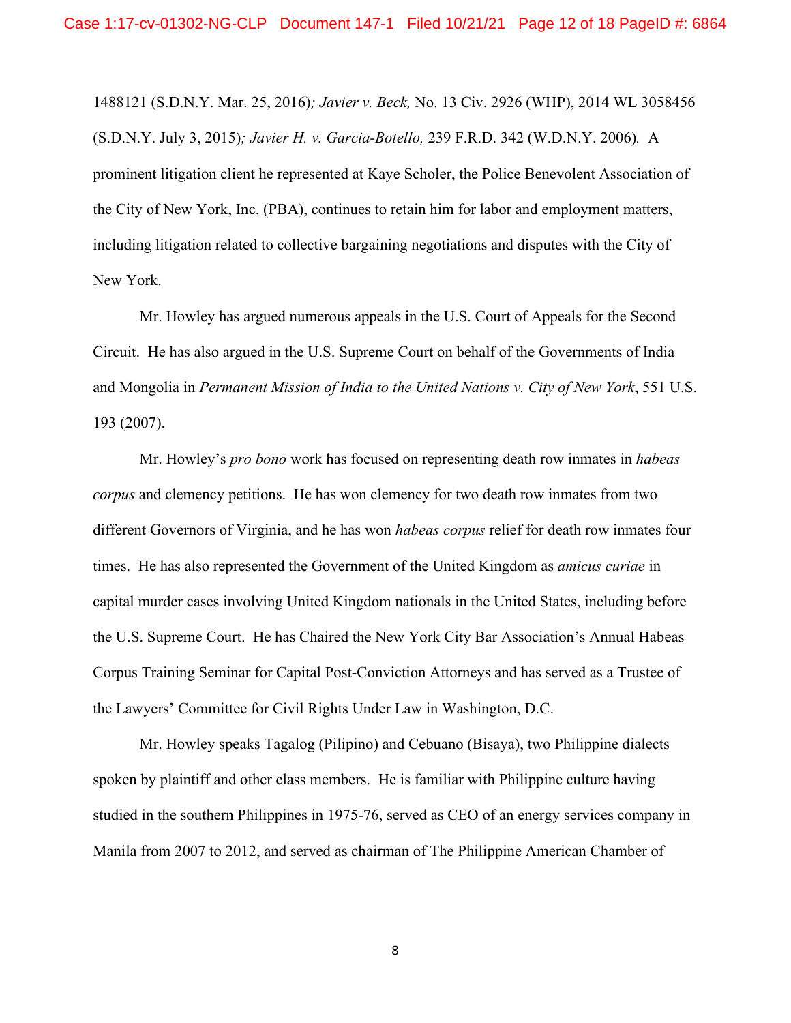1488121 (S.D.N.Y. Mar. 25, 2016)*; Javier v. Beck,* No. 13 Civ. 2926 (WHP), 2014 WL 3058456 (S.D.N.Y. July 3, 2015)*; Javier H. v. Garcia-Botello,* 239 F.R.D. 342 (W.D.N.Y. 2006)*.* A prominent litigation client he represented at Kaye Scholer, the Police Benevolent Association of the City of New York, Inc. (PBA), continues to retain him for labor and employment matters, including litigation related to collective bargaining negotiations and disputes with the City of New York.

Mr. Howley has argued numerous appeals in the U.S. Court of Appeals for the Second Circuit. He has also argued in the U.S. Supreme Court on behalf of the Governments of India and Mongolia in *Permanent Mission of India to the United Nations v. City of New York*, 551 U.S. 193 (2007).

Mr. Howley's *pro bono* work has focused on representing death row inmates in *habeas corpus* and clemency petitions. He has won clemency for two death row inmates from two different Governors of Virginia, and he has won *habeas corpus* relief for death row inmates four times. He has also represented the Government of the United Kingdom as *amicus curiae* in capital murder cases involving United Kingdom nationals in the United States, including before the U.S. Supreme Court. He has Chaired the New York City Bar Association's Annual Habeas Corpus Training Seminar for Capital Post-Conviction Attorneys and has served as a Trustee of the Lawyers' Committee for Civil Rights Under Law in Washington, D.C.

Mr. Howley speaks Tagalog (Pilipino) and Cebuano (Bisaya), two Philippine dialects spoken by plaintiff and other class members. He is familiar with Philippine culture having studied in the southern Philippines in 1975-76, served as CEO of an energy services company in Manila from 2007 to 2012, and served as chairman of The Philippine American Chamber of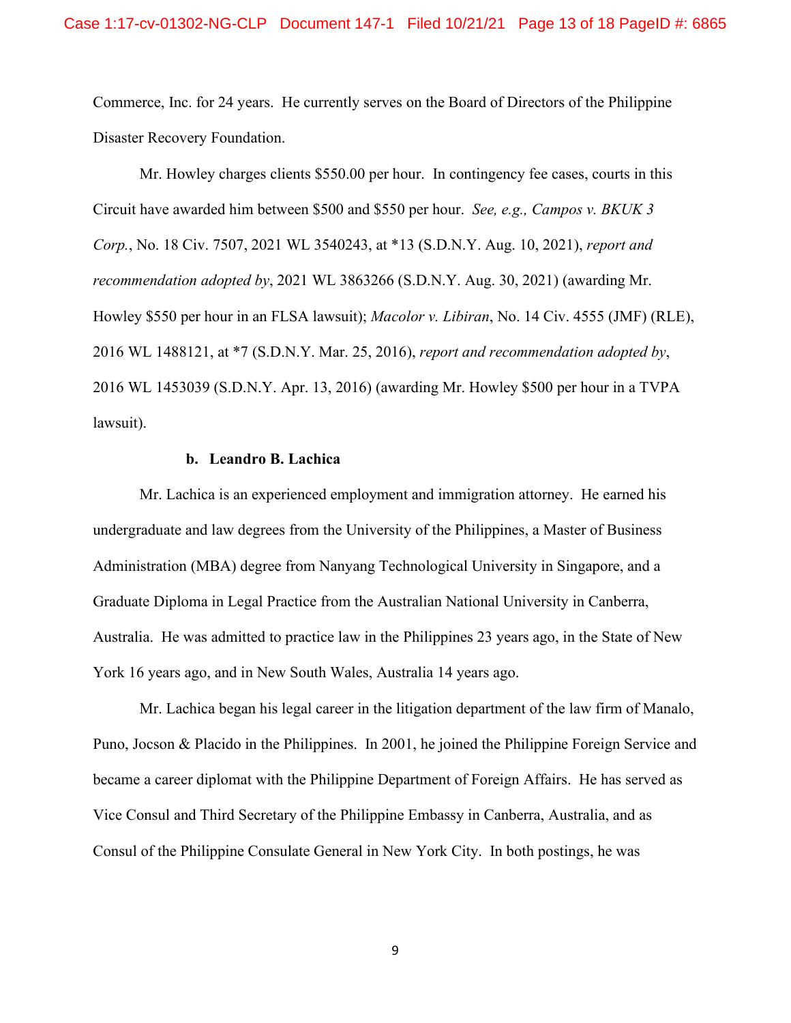Commerce, Inc. for 24 years. He currently serves on the Board of Directors of the Philippine Disaster Recovery Foundation.

Mr. Howley charges clients \$550.00 per hour. In contingency fee cases, courts in this Circuit have awarded him between \$500 and \$550 per hour. *See, e.g., Campos v. BKUK 3 Corp.*, No. 18 Civ. 7507, 2021 WL 3540243, at \*13 (S.D.N.Y. Aug. 10, 2021), *report and recommendation adopted by*, 2021 WL 3863266 (S.D.N.Y. Aug. 30, 2021) (awarding Mr. Howley \$550 per hour in an FLSA lawsuit); *Macolor v. Libiran*, No. 14 Civ. 4555 (JMF) (RLE), 2016 WL 1488121, at \*7 (S.D.N.Y. Mar. 25, 2016), *report and recommendation adopted by*, 2016 WL 1453039 (S.D.N.Y. Apr. 13, 2016) (awarding Mr. Howley \$500 per hour in a TVPA lawsuit).

#### **b. Leandro B. Lachica**

Mr. Lachica is an experienced employment and immigration attorney. He earned his undergraduate and law degrees from the University of the Philippines, a Master of Business Administration (MBA) degree from Nanyang Technological University in Singapore, and a Graduate Diploma in Legal Practice from the Australian National University in Canberra, Australia. He was admitted to practice law in the Philippines 23 years ago, in the State of New York 16 years ago, and in New South Wales, Australia 14 years ago.

Mr. Lachica began his legal career in the litigation department of the law firm of Manalo, Puno, Jocson & Placido in the Philippines. In 2001, he joined the Philippine Foreign Service and became a career diplomat with the Philippine Department of Foreign Affairs. He has served as Vice Consul and Third Secretary of the Philippine Embassy in Canberra, Australia, and as Consul of the Philippine Consulate General in New York City. In both postings, he was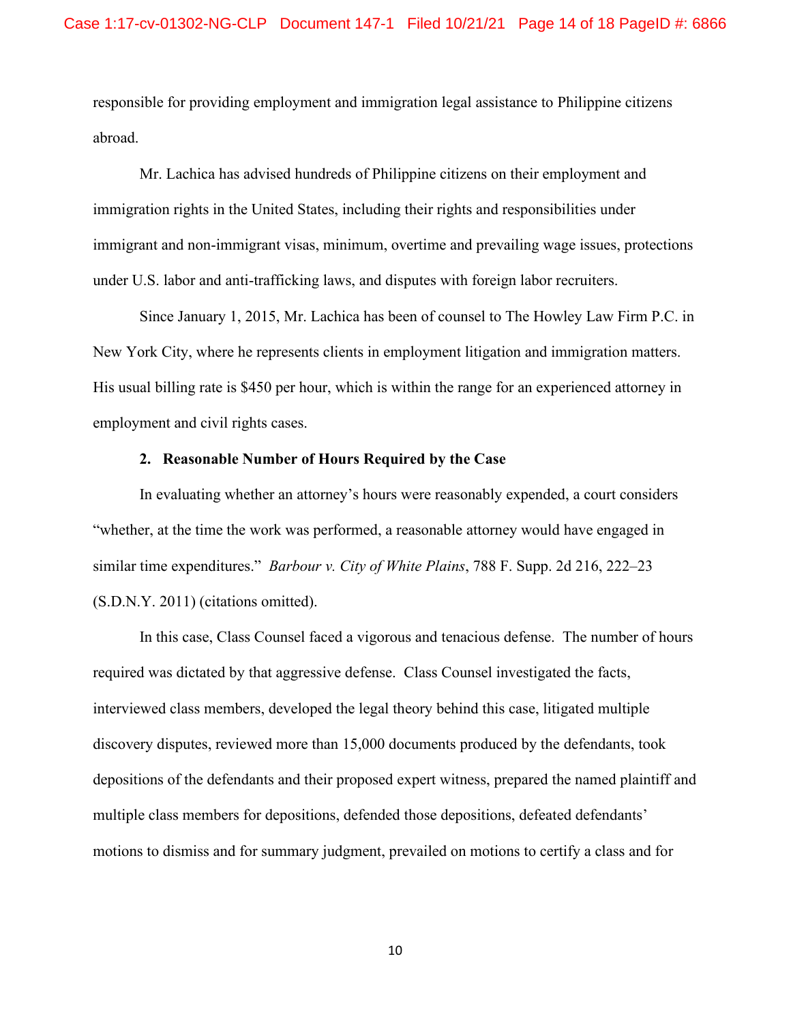responsible for providing employment and immigration legal assistance to Philippine citizens abroad.

Mr. Lachica has advised hundreds of Philippine citizens on their employment and immigration rights in the United States, including their rights and responsibilities under immigrant and non-immigrant visas, minimum, overtime and prevailing wage issues, protections under U.S. labor and anti-trafficking laws, and disputes with foreign labor recruiters.

Since January 1, 2015, Mr. Lachica has been of counsel to The Howley Law Firm P.C. in New York City, where he represents clients in employment litigation and immigration matters. His usual billing rate is \$450 per hour, which is within the range for an experienced attorney in employment and civil rights cases.

### **2. Reasonable Number of Hours Required by the Case**

In evaluating whether an attorney's hours were reasonably expended, a court considers "whether, at the time the work was performed, a reasonable attorney would have engaged in similar time expenditures." *Barbour v. City of White Plains*, 788 F. Supp. 2d 216, 222–23 (S.D.N.Y. 2011) (citations omitted).

In this case, Class Counsel faced a vigorous and tenacious defense. The number of hours required was dictated by that aggressive defense. Class Counsel investigated the facts, interviewed class members, developed the legal theory behind this case, litigated multiple discovery disputes, reviewed more than 15,000 documents produced by the defendants, took depositions of the defendants and their proposed expert witness, prepared the named plaintiff and multiple class members for depositions, defended those depositions, defeated defendants' motions to dismiss and for summary judgment, prevailed on motions to certify a class and for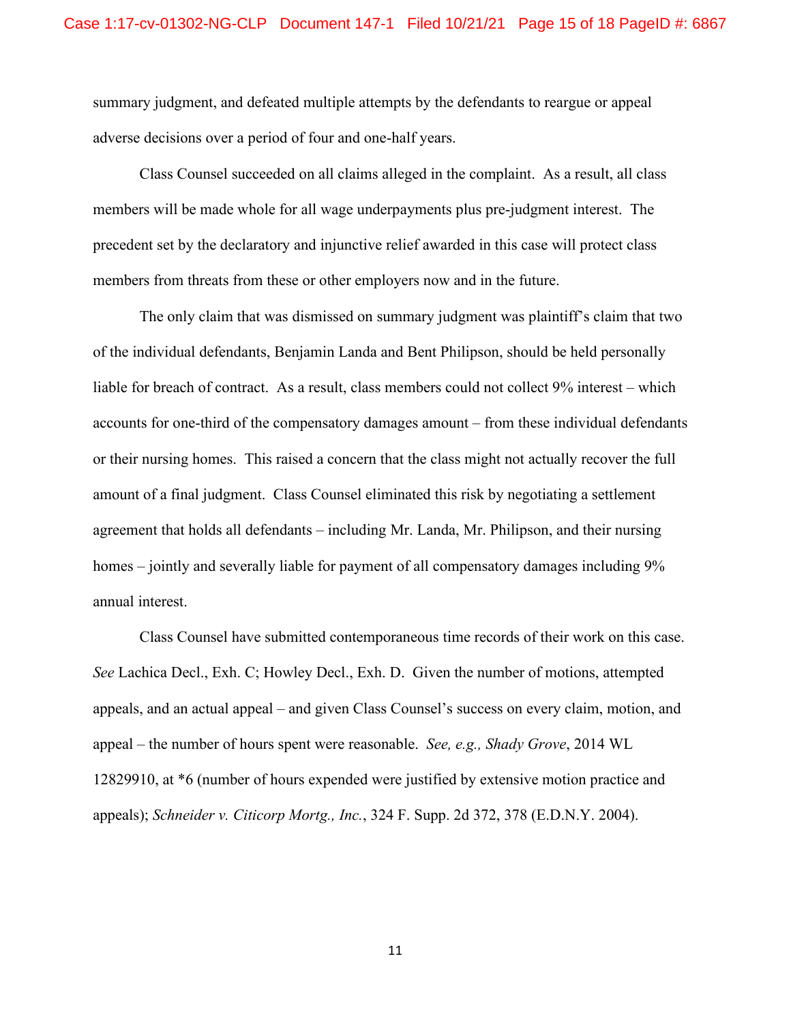summary judgment, and defeated multiple attempts by the defendants to reargue or appeal adverse decisions over a period of four and one-half years.

Class Counsel succeeded on all claims alleged in the complaint. As a result, all class members will be made whole for all wage underpayments plus pre-judgment interest. The precedent set by the declaratory and injunctive relief awarded in this case will protect class members from threats from these or other employers now and in the future.

The only claim that was dismissed on summary judgment was plaintiff's claim that two of the individual defendants, Benjamin Landa and Bent Philipson, should be held personally liable for breach of contract. As a result, class members could not collect 9% interest – which accounts for one-third of the compensatory damages amount – from these individual defendants or their nursing homes. This raised a concern that the class might not actually recover the full amount of a final judgment. Class Counsel eliminated this risk by negotiating a settlement agreement that holds all defendants – including Mr. Landa, Mr. Philipson, and their nursing homes – jointly and severally liable for payment of all compensatory damages including 9% annual interest.

Class Counsel have submitted contemporaneous time records of their work on this case. *See* Lachica Decl., Exh. C; Howley Decl., Exh. D. Given the number of motions, attempted appeals, and an actual appeal – and given Class Counsel's success on every claim, motion, and appeal – the number of hours spent were reasonable. *See, e.g., Shady Grove*, 2014 WL 12829910, at \*6 (number of hours expended were justified by extensive motion practice and appeals); *Schneider v. Citicorp Mortg., Inc.*, 324 F. Supp. 2d 372, 378 (E.D.N.Y. 2004).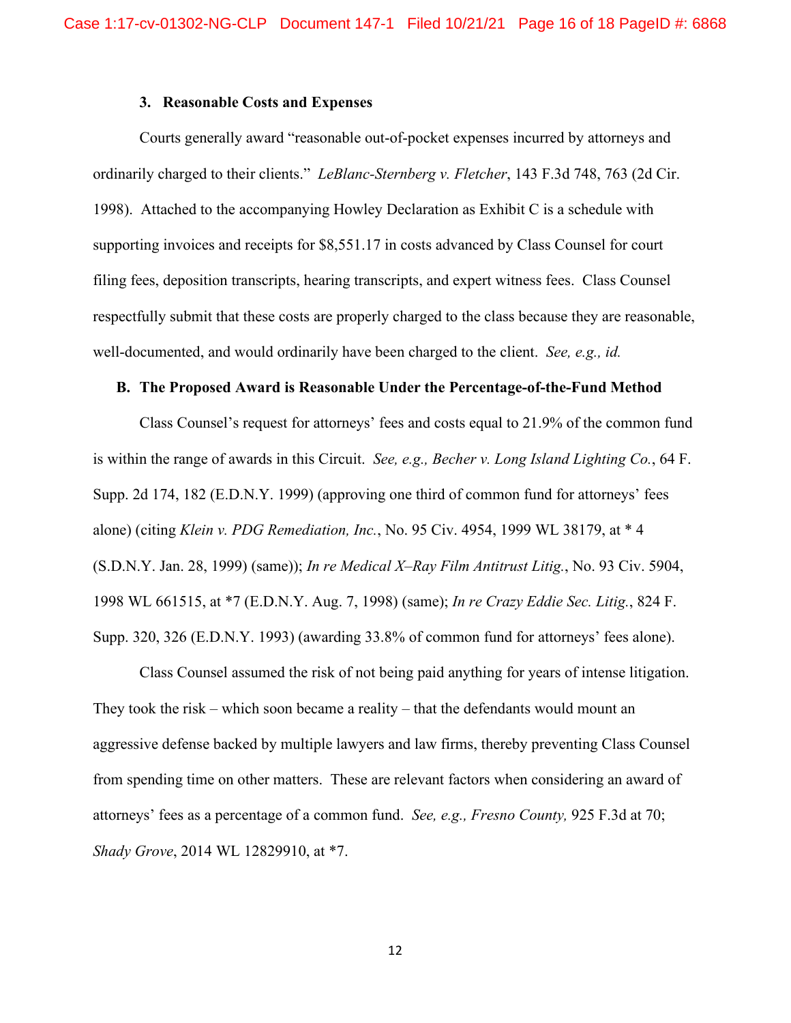#### **3. Reasonable Costs and Expenses**

Courts generally award "reasonable out-of-pocket expenses incurred by attorneys and ordinarily charged to their clients." *LeBlanc-Sternberg v. Fletcher*, 143 F.3d 748, 763 (2d Cir. 1998). Attached to the accompanying Howley Declaration as Exhibit C is a schedule with supporting invoices and receipts for \$8,551.17 in costs advanced by Class Counsel for court filing fees, deposition transcripts, hearing transcripts, and expert witness fees. Class Counsel respectfully submit that these costs are properly charged to the class because they are reasonable, well-documented, and would ordinarily have been charged to the client. *See, e.g., id.*

#### **B. The Proposed Award is Reasonable Under the Percentage-of-the-Fund Method**

Class Counsel's request for attorneys' fees and costs equal to 21.9% of the common fund is within the range of awards in this Circuit. *See, e.g., Becher v. Long Island Lighting Co.*, 64 F. Supp. 2d 174, 182 (E.D.N.Y. 1999) (approving one third of common fund for attorneys' fees alone) (citing *Klein v. PDG Remediation, Inc.*, No. 95 Civ. 4954, 1999 WL 38179, at \* 4 (S.D.N.Y. Jan. 28, 1999) (same)); *In re Medical X–Ray Film Antitrust Litig.*, No. 93 Civ. 5904, 1998 WL 661515, at \*7 (E.D.N.Y. Aug. 7, 1998) (same); *In re Crazy Eddie Sec. Litig.*, 824 F. Supp. 320, 326 (E.D.N.Y. 1993) (awarding 33.8% of common fund for attorneys' fees alone).

Class Counsel assumed the risk of not being paid anything for years of intense litigation. They took the risk – which soon became a reality – that the defendants would mount an aggressive defense backed by multiple lawyers and law firms, thereby preventing Class Counsel from spending time on other matters. These are relevant factors when considering an award of attorneys' fees as a percentage of a common fund. *See, e.g., Fresno County,* 925 F.3d at 70; *Shady Grove*, 2014 WL 12829910, at \*7.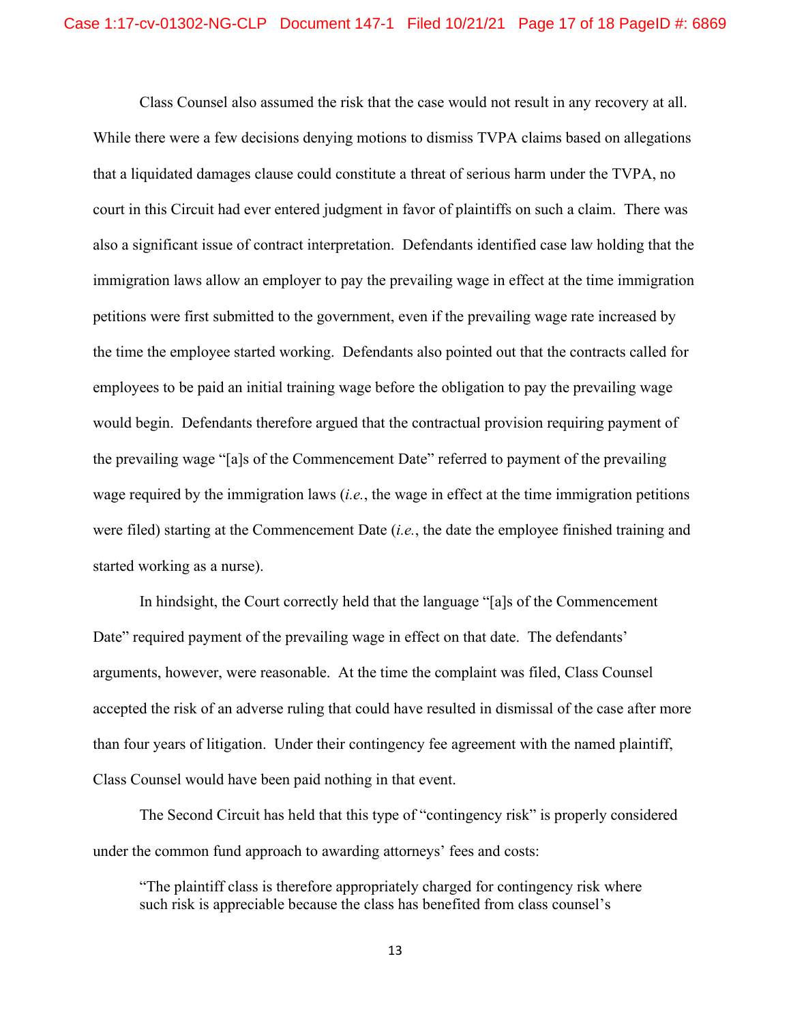Class Counsel also assumed the risk that the case would not result in any recovery at all. While there were a few decisions denying motions to dismiss TVPA claims based on allegations that a liquidated damages clause could constitute a threat of serious harm under the TVPA, no court in this Circuit had ever entered judgment in favor of plaintiffs on such a claim. There was also a significant issue of contract interpretation. Defendants identified case law holding that the immigration laws allow an employer to pay the prevailing wage in effect at the time immigration petitions were first submitted to the government, even if the prevailing wage rate increased by the time the employee started working. Defendants also pointed out that the contracts called for employees to be paid an initial training wage before the obligation to pay the prevailing wage would begin. Defendants therefore argued that the contractual provision requiring payment of the prevailing wage "[a]s of the Commencement Date" referred to payment of the prevailing wage required by the immigration laws (*i.e.*, the wage in effect at the time immigration petitions were filed) starting at the Commencement Date (*i.e.*, the date the employee finished training and started working as a nurse).

In hindsight, the Court correctly held that the language "[a]s of the Commencement Date" required payment of the prevailing wage in effect on that date. The defendants' arguments, however, were reasonable. At the time the complaint was filed, Class Counsel accepted the risk of an adverse ruling that could have resulted in dismissal of the case after more than four years of litigation. Under their contingency fee agreement with the named plaintiff, Class Counsel would have been paid nothing in that event.

The Second Circuit has held that this type of "contingency risk" is properly considered under the common fund approach to awarding attorneys' fees and costs:

"The plaintiff class is therefore appropriately charged for contingency risk where such risk is appreciable because the class has benefited from class counsel's